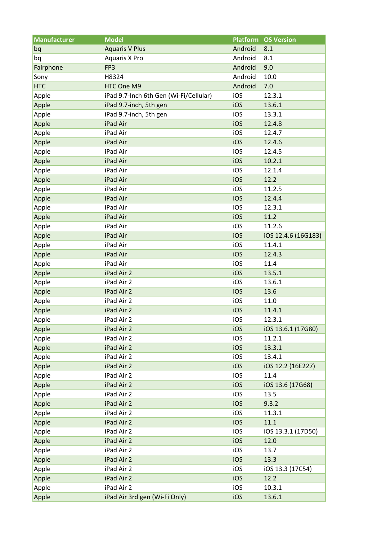| <b>Manufacturer</b> | <b>Model</b>                           | <b>Platform</b> | <b>OS Version</b>   |
|---------------------|----------------------------------------|-----------------|---------------------|
| bq                  | <b>Aquaris V Plus</b>                  | Android         | 8.1                 |
| bq                  | <b>Aquaris X Pro</b>                   | Android         | 8.1                 |
| Fairphone           | FP3                                    | Android         | 9.0                 |
| Sony                | H8324                                  | Android         | 10.0                |
| <b>HTC</b>          | HTC One M9                             | Android         | 7.0                 |
| Apple               | iPad 9.7-Inch 6th Gen (Wi-Fi/Cellular) | iOS             | 12.3.1              |
| Apple               | iPad 9.7-inch, 5th gen                 | iOS             | 13.6.1              |
| Apple               | iPad 9.7-inch, 5th gen                 | iOS             | 13.3.1              |
| Apple               | iPad Air                               | iOS             | 12.4.8              |
| Apple               | iPad Air                               | iOS             | 12.4.7              |
| Apple               | iPad Air                               | iOS             | 12.4.6              |
| Apple               | iPad Air                               | iOS             | 12.4.5              |
| Apple               | iPad Air                               | iOS             | 10.2.1              |
| Apple               | iPad Air                               | iOS             | 12.1.4              |
| Apple               | iPad Air                               | iOS             | 12.2                |
| Apple               | iPad Air                               | iOS             | 11.2.5              |
| Apple               | iPad Air                               | iOS             | 12.4.4              |
| Apple               | iPad Air                               | iOS             | 12.3.1              |
| Apple               | iPad Air                               | iOS             | 11.2                |
| Apple               | iPad Air                               | iOS             | 11.2.6              |
| Apple               | iPad Air                               | iOS             | iOS 12.4.6 (16G183) |
| Apple               | iPad Air                               | iOS             | 11.4.1              |
| Apple               | iPad Air                               | iOS             | 12.4.3              |
| Apple               | iPad Air                               | iOS             | 11.4                |
| Apple               | iPad Air 2                             | iOS             | 13.5.1              |
| Apple               | iPad Air 2                             | iOS             | 13.6.1              |
| Apple               | iPad Air 2                             | iOS             | 13.6                |
| Apple               | iPad Air 2                             | iOS             | 11.0                |
| Apple               | iPad Air 2                             | iOS             | 11.4.1              |
| Apple               | iPad Air 2                             | iOS             | 12.3.1              |
| Apple               | iPad Air 2                             | iOS             | iOS 13.6.1 (17G80)  |
| Apple               | iPad Air 2                             | iOS             | 11.2.1              |
| Apple               | iPad Air 2                             | iOS             | 13.3.1              |
| Apple               | iPad Air 2                             | iOS             | 13.4.1              |
| Apple               | iPad Air 2                             | iOS             | iOS 12.2 (16E227)   |
| Apple               | iPad Air 2                             | iOS             | 11.4                |
| Apple               | iPad Air 2                             | iOS             | iOS 13.6 (17G68)    |
| Apple               | iPad Air 2                             | iOS             | 13.5                |
| Apple               | iPad Air 2                             | iOS             | 9.3.2               |
| Apple               | iPad Air 2                             | iOS             | 11.3.1              |
| Apple               | iPad Air 2                             | iOS             | 11.1                |
| Apple               | iPad Air 2                             | iOS             | iOS 13.3.1 (17D50)  |
| Apple               | iPad Air 2                             | iOS             | 12.0                |
| Apple               | iPad Air 2                             | iOS             | 13.7                |
| Apple               | iPad Air 2                             | iOS             | 13.3                |
| Apple               | iPad Air 2                             | iOS             | iOS 13.3 (17C54)    |
| Apple               | iPad Air 2                             | iOS             | 12.2                |
| Apple               | iPad Air 2                             | iOS             | 10.3.1              |
| Apple               | iPad Air 3rd gen (Wi-Fi Only)          | iOS             | 13.6.1              |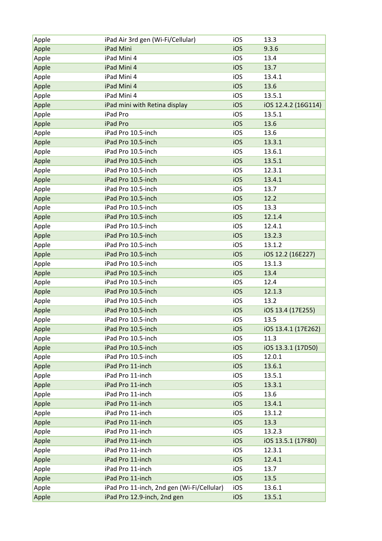| Apple | iPad Air 3rd gen (Wi-Fi/Cellular)          | iOS | 13.3                |
|-------|--------------------------------------------|-----|---------------------|
| Apple | iPad Mini                                  | iOS | 9.3.6               |
| Apple | iPad Mini 4                                | iOS | 13.4                |
| Apple | iPad Mini 4                                | iOS | 13.7                |
| Apple | iPad Mini 4                                | iOS | 13.4.1              |
| Apple | iPad Mini 4                                | iOS | 13.6                |
| Apple | iPad Mini 4                                | iOS | 13.5.1              |
| Apple | iPad mini with Retina display              | iOS | iOS 12.4.2 (16G114) |
| Apple | iPad Pro                                   | iOS | 13.5.1              |
| Apple | iPad Pro                                   | iOS | 13.6                |
| Apple | iPad Pro 10.5-inch                         | iOS | 13.6                |
| Apple | iPad Pro 10.5-inch                         | iOS | 13.3.1              |
| Apple | iPad Pro 10.5-inch                         | iOS | 13.6.1              |
| Apple | iPad Pro 10.5-inch                         | iOS | 13.5.1              |
| Apple | iPad Pro 10.5-inch                         | iOS | 12.3.1              |
| Apple | iPad Pro 10.5-inch                         | iOS | 13.4.1              |
| Apple | iPad Pro 10.5-inch                         | iOS | 13.7                |
| Apple | iPad Pro 10.5-inch                         | iOS | 12.2                |
| Apple | iPad Pro 10.5-inch                         | iOS | 13.3                |
| Apple | iPad Pro 10.5-inch                         | iOS | 12.1.4              |
| Apple | iPad Pro 10.5-inch                         | iOS | 12.4.1              |
| Apple | iPad Pro 10.5-inch                         | iOS | 13.2.3              |
| Apple | iPad Pro 10.5-inch                         | iOS | 13.1.2              |
| Apple | iPad Pro 10.5-inch                         | iOS | iOS 12.2 (16E227)   |
| Apple | iPad Pro 10.5-inch                         | iOS | 13.1.3              |
| Apple | iPad Pro 10.5-inch                         | iOS | 13.4                |
| Apple | iPad Pro 10.5-inch                         | iOS | 12.4                |
| Apple | iPad Pro 10.5-inch                         | iOS | 12.1.3              |
|       | iPad Pro 10.5-inch                         | iOS | 13.2                |
| Apple | iPad Pro 10.5-inch                         |     |                     |
| Apple |                                            | iOS | iOS 13.4 (17E255)   |
| Apple | iPad Pro 10.5-inch                         | iOS | 13.5                |
| Apple | iPad Pro 10.5-inch                         | iOS | iOS 13.4.1 (17E262) |
| Apple | iPad Pro 10.5-inch                         | iOS | 11.3                |
| Apple | iPad Pro 10.5-inch                         | iOS | iOS 13.3.1 (17D50)  |
| Apple | iPad Pro 10.5-inch                         | iOS | 12.0.1              |
| Apple | iPad Pro 11-inch                           | iOS | 13.6.1              |
| Apple | iPad Pro 11-inch                           | iOS | 13.5.1              |
| Apple | iPad Pro 11-inch                           | iOS | 13.3.1              |
| Apple | iPad Pro 11-inch                           | iOS | 13.6                |
| Apple | iPad Pro 11-inch                           | iOS | 13.4.1              |
| Apple | iPad Pro 11-inch                           | iOS | 13.1.2              |
| Apple | iPad Pro 11-inch                           | iOS | 13.3                |
| Apple | iPad Pro 11-inch                           | iOS | 13.2.3              |
| Apple | iPad Pro 11-inch                           | iOS | iOS 13.5.1 (17F80)  |
| Apple | iPad Pro 11-inch                           | iOS | 12.3.1              |
| Apple | iPad Pro 11-inch                           | iOS | 12.4.1              |
| Apple | iPad Pro 11-inch                           | iOS | 13.7                |
| Apple | iPad Pro 11-inch                           | iOS | 13.5                |
| Apple | iPad Pro 11-inch, 2nd gen (Wi-Fi/Cellular) | iOS | 13.6.1              |
| Apple | iPad Pro 12.9-inch, 2nd gen                | iOS | 13.5.1              |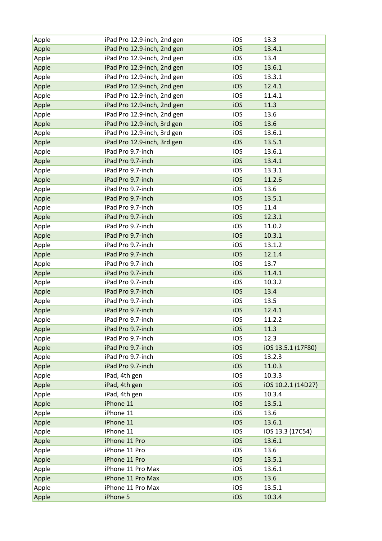| Apple          | iPad Pro 12.9-inch, 2nd gen | iOS | 13.3               |
|----------------|-----------------------------|-----|--------------------|
| Apple          | iPad Pro 12.9-inch, 2nd gen | iOS | 13.4.1             |
| Apple          | iPad Pro 12.9-inch, 2nd gen | iOS | 13.4               |
| Apple          | iPad Pro 12.9-inch, 2nd gen | iOS | 13.6.1             |
| Apple          | iPad Pro 12.9-inch, 2nd gen | iOS | 13.3.1             |
| Apple          | iPad Pro 12.9-inch, 2nd gen | iOS | 12.4.1             |
| Apple          | iPad Pro 12.9-inch, 2nd gen | iOS | 11.4.1             |
| Apple          | iPad Pro 12.9-inch, 2nd gen | iOS | 11.3               |
| Apple          | iPad Pro 12.9-inch, 2nd gen | iOS | 13.6               |
| Apple          | iPad Pro 12.9-inch, 3rd gen | iOS | 13.6               |
| Apple          | iPad Pro 12.9-inch, 3rd gen | iOS | 13.6.1             |
| Apple          | iPad Pro 12.9-inch, 3rd gen | iOS | 13.5.1             |
| Apple          | iPad Pro 9.7-inch           | iOS | 13.6.1             |
| Apple          | iPad Pro 9.7-inch           | iOS | 13.4.1             |
| Apple          | iPad Pro 9.7-inch           | iOS | 13.3.1             |
| Apple          | iPad Pro 9.7-inch           | iOS | 11.2.6             |
| Apple          | iPad Pro 9.7-inch           | iOS | 13.6               |
| Apple          | iPad Pro 9.7-inch           | iOS | 13.5.1             |
| Apple          | iPad Pro 9.7-inch           | iOS | 11.4               |
| Apple          | iPad Pro 9.7-inch           | iOS | 12.3.1             |
| Apple          | iPad Pro 9.7-inch           | iOS | 11.0.2             |
| Apple          | iPad Pro 9.7-inch           | iOS | 10.3.1             |
|                | iPad Pro 9.7-inch           | iOS | 13.1.2             |
| Apple<br>Apple | iPad Pro 9.7-inch           | iOS | 12.1.4             |
|                | iPad Pro 9.7-inch           | iOS | 13.7               |
| Apple          | iPad Pro 9.7-inch           | iOS | 11.4.1             |
| Apple          |                             |     |                    |
| Apple          | iPad Pro 9.7-inch           | iOS | 10.3.2             |
| Apple          | iPad Pro 9.7-inch           | iOS | 13.4               |
| Apple          | iPad Pro 9.7-inch           | iOS | 13.5               |
| Apple          | iPad Pro 9.7-inch           | iOS | 12.4.1             |
| Apple          | iPad Pro 9.7-inch           | iOS | 11.2.2             |
| Apple          | iPad Pro 9.7-inch           | iOS | 11.3               |
| Apple          | iPad Pro 9.7-inch           | iOS | 12.3               |
| Apple          | iPad Pro 9.7-inch           | iOS | iOS 13.5.1 (17F80) |
| Apple          | iPad Pro 9.7-inch           | iOS | 13.2.3             |
| Apple          | iPad Pro 9.7-inch           | iOS | 11.0.3             |
| Apple          | iPad, 4th gen               | iOS | 10.3.3             |
| Apple          | iPad, 4th gen               | iOS | iOS 10.2.1 (14D27) |
| Apple          | iPad, 4th gen               | iOS | 10.3.4             |
| Apple          | iPhone 11                   | iOS | 13.5.1             |
| Apple          | iPhone 11                   | iOS | 13.6               |
| Apple          | iPhone 11                   | iOS | 13.6.1             |
| Apple          | iPhone 11                   | iOS | iOS 13.3 (17C54)   |
| Apple          | iPhone 11 Pro               | iOS | 13.6.1             |
| Apple          | iPhone 11 Pro               | iOS | 13.6               |
| Apple          | iPhone 11 Pro               | iOS | 13.5.1             |
| Apple          | iPhone 11 Pro Max           | iOS | 13.6.1             |
| Apple          | iPhone 11 Pro Max           | iOS | 13.6               |
| Apple          | iPhone 11 Pro Max           | iOS | 13.5.1             |
| Apple          | iPhone 5                    | iOS | 10.3.4             |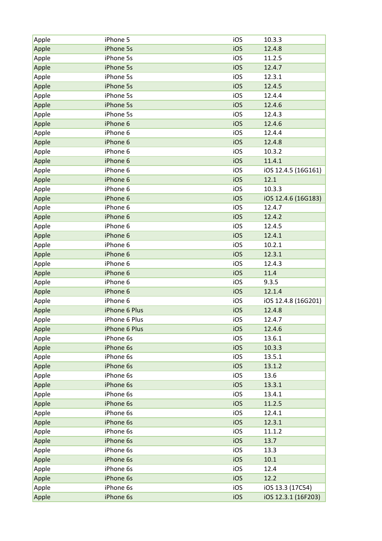| Apple | iPhone 5      | iOS | 10.3.3              |
|-------|---------------|-----|---------------------|
| Apple | iPhone 5s     | iOS | 12.4.8              |
| Apple | iPhone 5s     | iOS | 11.2.5              |
| Apple | iPhone 5s     | iOS | 12.4.7              |
| Apple | iPhone 5s     | iOS | 12.3.1              |
| Apple | iPhone 5s     | iOS | 12.4.5              |
| Apple | iPhone 5s     | iOS | 12.4.4              |
| Apple | iPhone 5s     | iOS | 12.4.6              |
| Apple | iPhone 5s     | iOS | 12.4.3              |
| Apple | iPhone 6      | iOS | 12.4.6              |
| Apple | iPhone 6      | iOS | 12.4.4              |
| Apple | iPhone 6      | iOS | 12.4.8              |
| Apple | iPhone 6      | iOS | 10.3.2              |
| Apple | iPhone 6      | iOS | 11.4.1              |
| Apple | iPhone 6      | iOS | iOS 12.4.5 (16G161) |
| Apple | iPhone 6      | iOS | 12.1                |
| Apple | iPhone 6      | iOS | 10.3.3              |
| Apple | iPhone 6      | iOS | iOS 12.4.6 (16G183) |
| Apple | iPhone 6      | iOS | 12.4.7              |
| Apple | iPhone 6      | iOS | 12.4.2              |
| Apple | iPhone 6      | iOS | 12.4.5              |
| Apple | iPhone 6      | iOS | 12.4.1              |
| Apple | iPhone 6      | iOS | 10.2.1              |
| Apple | iPhone 6      | iOS | 12.3.1              |
| Apple | iPhone 6      | iOS | 12.4.3              |
| Apple | iPhone 6      | iOS | 11.4                |
| Apple | iPhone 6      | iOS | 9.3.5               |
| Apple | iPhone 6      | iOS | 12.1.4              |
| Apple | iPhone 6      | iOS | iOS 12.4.8 (16G201) |
| Apple | iPhone 6 Plus | iOS | 12.4.8              |
| Apple | iPhone 6 Plus | iOS | 12.4.7              |
| Apple | iPhone 6 Plus | iOS | 12.4.6              |
| Apple | iPhone 6s     | iOS | 13.6.1              |
| Apple | iPhone 6s     | iOS | 10.3.3              |
| Apple | iPhone 6s     | iOS | 13.5.1              |
| Apple | iPhone 6s     | iOS | 13.1.2              |
| Apple | iPhone 6s     | iOS | 13.6                |
| Apple | iPhone 6s     | iOS | 13.3.1              |
| Apple | iPhone 6s     | iOS | 13.4.1              |
| Apple | iPhone 6s     | iOS | 11.2.5              |
| Apple | iPhone 6s     | iOS | 12.4.1              |
| Apple | iPhone 6s     | iOS | 12.3.1              |
| Apple | iPhone 6s     | iOS | 11.1.2              |
| Apple | iPhone 6s     | iOS | 13.7                |
| Apple | iPhone 6s     | iOS | 13.3                |
| Apple | iPhone 6s     | iOS | 10.1                |
| Apple | iPhone 6s     | iOS | 12.4                |
| Apple | iPhone 6s     | iOS | 12.2                |
| Apple | iPhone 6s     | iOS | iOS 13.3 (17C54)    |
| Apple | iPhone 6s     | iOS | iOS 12.3.1 (16F203) |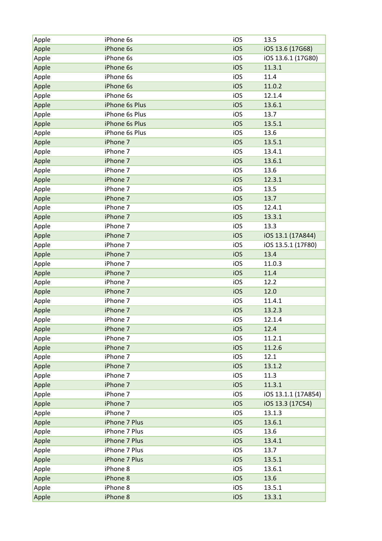| Apple | iPhone 6s      | iOS | 13.5                |
|-------|----------------|-----|---------------------|
| Apple | iPhone 6s      | iOS | iOS 13.6 (17G68)    |
| Apple | iPhone 6s      | iOS | iOS 13.6.1 (17G80)  |
| Apple | iPhone 6s      | iOS | 11.3.1              |
| Apple | iPhone 6s      | iOS | 11.4                |
| Apple | iPhone 6s      | iOS | 11.0.2              |
| Apple | iPhone 6s      | iOS | 12.1.4              |
| Apple | iPhone 6s Plus | iOS | 13.6.1              |
| Apple | iPhone 6s Plus | iOS | 13.7                |
| Apple | iPhone 6s Plus | iOS | 13.5.1              |
| Apple | iPhone 6s Plus | iOS | 13.6                |
| Apple | iPhone 7       | iOS | 13.5.1              |
| Apple | iPhone 7       | iOS | 13.4.1              |
| Apple | iPhone 7       | iOS | 13.6.1              |
| Apple | iPhone 7       | iOS | 13.6                |
| Apple | iPhone 7       | iOS | 12.3.1              |
| Apple | iPhone 7       | iOS | 13.5                |
| Apple | iPhone 7       | iOS | 13.7                |
| Apple | iPhone 7       | iOS | 12.4.1              |
| Apple | iPhone 7       | iOS | 13.3.1              |
| Apple | iPhone 7       | iOS | 13.3                |
| Apple | iPhone 7       | iOS | iOS 13.1 (17A844)   |
| Apple | iPhone 7       | iOS | iOS 13.5.1 (17F80)  |
|       | iPhone 7       | iOS | 13.4                |
| Apple | iPhone 7       | iOS | 11.0.3              |
| Apple | iPhone 7       | iOS | 11.4                |
| Apple |                |     |                     |
| Apple | iPhone 7       | iOS | 12.2                |
| Apple | iPhone 7       | iOS | 12.0                |
| Apple | iPhone 7       | iOS | 11.4.1              |
| Apple | iPhone 7       | iOS | 13.2.3              |
| Apple | iPhone 7       | iOS | 12.1.4              |
| Apple | iPhone 7       | iOS | 12.4                |
| Apple | iPhone 7       | iOS | 11.2.1              |
| Apple | iPhone 7       | iOS | 11.2.6              |
| Apple | iPhone 7       | iOS | 12.1                |
| Apple | iPhone 7       | iOS | 13.1.2              |
| Apple | iPhone 7       | iOS | 11.3                |
| Apple | iPhone 7       | iOS | 11.3.1              |
| Apple | iPhone 7       | iOS | iOS 13.1.1 (17A854) |
| Apple | iPhone 7       | iOS | iOS 13.3 (17C54)    |
| Apple | iPhone 7       | iOS | 13.1.3              |
| Apple | iPhone 7 Plus  | iOS | 13.6.1              |
| Apple | iPhone 7 Plus  | iOS | 13.6                |
| Apple | iPhone 7 Plus  | iOS | 13.4.1              |
| Apple | iPhone 7 Plus  | iOS | 13.7                |
| Apple | iPhone 7 Plus  | iOS | 13.5.1              |
| Apple | iPhone 8       | iOS | 13.6.1              |
| Apple | iPhone 8       | iOS | 13.6                |
| Apple | iPhone 8       | iOS | 13.5.1              |
| Apple | iPhone 8       | iOS | 13.3.1              |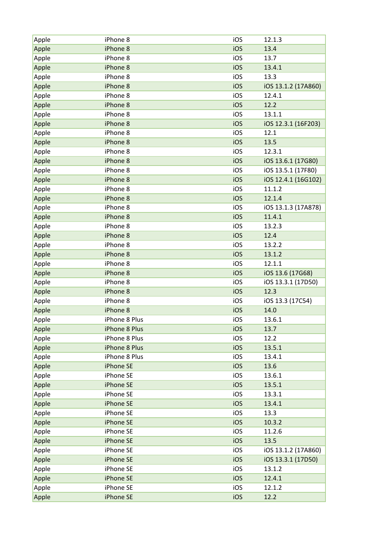| Apple | iPhone 8      | iOS | 12.1.3              |
|-------|---------------|-----|---------------------|
| Apple | iPhone 8      | iOS | 13.4                |
| Apple | iPhone 8      | iOS | 13.7                |
| Apple | iPhone 8      | iOS | 13.4.1              |
| Apple | iPhone 8      | iOS | 13.3                |
| Apple | iPhone 8      | iOS | iOS 13.1.2 (17A860) |
| Apple | iPhone 8      | iOS | 12.4.1              |
| Apple | iPhone 8      | iOS | 12.2                |
| Apple | iPhone 8      | iOS | 13.1.1              |
| Apple | iPhone 8      | iOS | iOS 12.3.1 (16F203) |
| Apple | iPhone 8      | iOS | 12.1                |
| Apple | iPhone 8      | iOS | 13.5                |
| Apple | iPhone 8      | iOS | 12.3.1              |
| Apple | iPhone 8      | iOS | iOS 13.6.1 (17G80)  |
| Apple | iPhone 8      | iOS | iOS 13.5.1 (17F80)  |
| Apple | iPhone 8      | iOS | iOS 12.4.1 (16G102) |
| Apple | iPhone 8      | iOS | 11.1.2              |
| Apple | iPhone 8      | iOS | 12.1.4              |
| Apple | iPhone 8      | iOS | iOS 13.1.3 (17A878) |
| Apple | iPhone 8      | iOS | 11.4.1              |
| Apple | iPhone 8      | iOS | 13.2.3              |
| Apple | iPhone 8      | iOS | 12.4                |
| Apple | iPhone 8      | iOS | 13.2.2              |
| Apple | iPhone 8      | iOS | 13.1.2              |
| Apple | iPhone 8      | iOS | 12.1.1              |
| Apple | iPhone 8      | iOS | iOS 13.6 (17G68)    |
| Apple | iPhone 8      | iOS | iOS 13.3.1 (17D50)  |
| Apple | iPhone 8      | iOS | 12.3                |
| Apple | iPhone 8      | iOS | iOS 13.3 (17C54)    |
| Apple | iPhone 8      | iOS | 14.0                |
| Apple | iPhone 8 Plus | iOS | 13.6.1              |
| Apple | iPhone 8 Plus | iOS | 13.7                |
| Apple | iPhone 8 Plus | iOS | 12.2                |
| Apple | iPhone 8 Plus | iOS | 13.5.1              |
| Apple | iPhone 8 Plus | iOS | 13.4.1              |
| Apple | iPhone SE     | iOS | 13.6                |
| Apple | iPhone SE     | iOS | 13.6.1              |
| Apple | iPhone SE     | iOS | 13.5.1              |
| Apple | iPhone SE     | iOS | 13.3.1              |
| Apple | iPhone SE     | iOS | 13.4.1              |
| Apple | iPhone SE     | iOS | 13.3                |
| Apple | iPhone SE     | iOS | 10.3.2              |
| Apple | iPhone SE     | iOS | 11.2.6              |
| Apple | iPhone SE     | iOS | 13.5                |
| Apple | iPhone SE     | iOS | iOS 13.1.2 (17A860) |
| Apple | iPhone SE     | iOS | iOS 13.3.1 (17D50)  |
| Apple | iPhone SE     | iOS | 13.1.2              |
| Apple | iPhone SE     | iOS | 12.4.1              |
| Apple | iPhone SE     | iOS | 12.1.2              |
| Apple | iPhone SE     | iOS | 12.2                |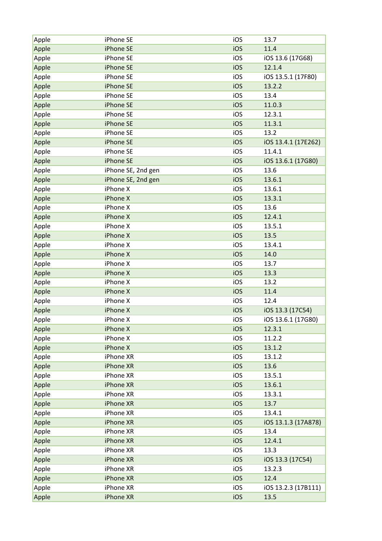| Apple | iPhone SE          | iOS | 13.7                |
|-------|--------------------|-----|---------------------|
| Apple | iPhone SE          | iOS | 11.4                |
| Apple | iPhone SE          | iOS | iOS 13.6 (17G68)    |
| Apple | iPhone SE          | iOS | 12.1.4              |
| Apple | iPhone SE          | iOS | iOS 13.5.1 (17F80)  |
| Apple | iPhone SE          | iOS | 13.2.2              |
| Apple | iPhone SE          | iOS | 13.4                |
| Apple | iPhone SE          | iOS | 11.0.3              |
| Apple | iPhone SE          | iOS | 12.3.1              |
| Apple | iPhone SE          | iOS | 11.3.1              |
| Apple | iPhone SE          | iOS | 13.2                |
| Apple | iPhone SE          | iOS | iOS 13.4.1 (17E262) |
| Apple | iPhone SE          | iOS | 11.4.1              |
| Apple | iPhone SE          | iOS | iOS 13.6.1 (17G80)  |
| Apple | iPhone SE, 2nd gen | iOS | 13.6                |
| Apple | iPhone SE, 2nd gen | iOS | 13.6.1              |
| Apple | iPhone X           | iOS | 13.6.1              |
| Apple | iPhone X           | iOS | 13.3.1              |
| Apple | iPhone X           | iOS | 13.6                |
| Apple | iPhone X           | iOS | 12.4.1              |
| Apple | iPhone X           | iOS | 13.5.1              |
| Apple | iPhone X           | iOS | 13.5                |
| Apple | iPhone X           | iOS | 13.4.1              |
| Apple | iPhone X           | iOS | 14.0                |
| Apple | iPhone X           | iOS | 13.7                |
| Apple | iPhone X           | iOS | 13.3                |
| Apple | iPhone X           | iOS | 13.2                |
| Apple | iPhone X           | iOS | 11.4                |
| Apple | iPhone X           | iOS | 12.4                |
| Apple | iPhone X           | iOS | iOS 13.3 (17C54)    |
| Apple | iPhone X           | iOS | iOS 13.6.1 (17G80)  |
| Apple | iPhone X           | iOS | 12.3.1              |
| Apple | iPhone X           | iOS | 11.2.2              |
| Apple | iPhone X           | iOS | 13.1.2              |
| Apple | iPhone XR          | iOS | 13.1.2              |
| Apple | iPhone XR          | iOS | 13.6                |
| Apple | iPhone XR          | iOS | 13.5.1              |
| Apple | iPhone XR          | iOS | 13.6.1              |
| Apple | iPhone XR          | iOS | 13.3.1              |
| Apple | iPhone XR          | iOS | 13.7                |
| Apple | iPhone XR          | iOS | 13.4.1              |
| Apple | iPhone XR          | iOS | iOS 13.1.3 (17A878) |
| Apple | iPhone XR          | iOS | 13.4                |
| Apple | iPhone XR          | iOS | 12.4.1              |
| Apple | iPhone XR          | iOS | 13.3                |
| Apple | iPhone XR          | iOS | iOS 13.3 (17C54)    |
| Apple | iPhone XR          | iOS | 13.2.3              |
| Apple | iPhone XR          | iOS | 12.4                |
| Apple | iPhone XR          | iOS | iOS 13.2.3 (17B111) |
| Apple | iPhone XR          | iOS | 13.5                |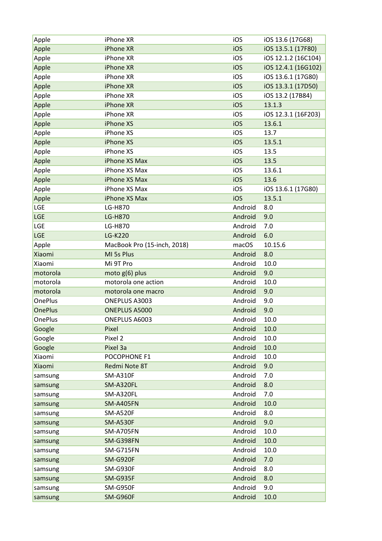| Apple          | iPhone XR                   | iOS     | iOS 13.6 (17G68)    |
|----------------|-----------------------------|---------|---------------------|
| Apple          | iPhone XR                   | iOS     | iOS 13.5.1 (17F80)  |
| Apple          | iPhone XR                   | iOS     | iOS 12.1.2 (16C104) |
| Apple          | iPhone XR                   | iOS     | iOS 12.4.1 (16G102) |
| Apple          | iPhone XR                   | iOS     | iOS 13.6.1 (17G80)  |
| Apple          | iPhone XR                   | iOS     | iOS 13.3.1 (17D50)  |
| Apple          | iPhone XR                   | iOS     | iOS 13.2 (17B84)    |
| Apple          | iPhone XR                   | iOS     | 13.1.3              |
| Apple          | iPhone XR                   | iOS     | iOS 12.3.1 (16F203) |
| Apple          | iPhone XS                   | iOS     | 13.6.1              |
| Apple          | iPhone XS                   | iOS     | 13.7                |
| Apple          | iPhone XS                   | iOS     | 13.5.1              |
| Apple          | iPhone XS                   | iOS     | 13.5                |
| Apple          | iPhone XS Max               | iOS     | 13.5                |
| Apple          | iPhone XS Max               | iOS     | 13.6.1              |
| Apple          | iPhone XS Max               | iOS     | 13.6                |
| Apple          | iPhone XS Max               | iOS     | iOS 13.6.1 (17G80)  |
| Apple          | iPhone XS Max               | iOS     | 13.5.1              |
| LGE            | LG-H870                     | Android | 8.0                 |
| <b>LGE</b>     | <b>LG-H870</b>              | Android | 9.0                 |
| LGE            | LG-H870                     | Android | 7.0                 |
| LGE            | <b>LG-K220</b>              | Android | 6.0                 |
| Apple          | MacBook Pro (15-inch, 2018) | macOS   | 10.15.6             |
| Xiaomi         | MI 5s Plus                  | Android | 8.0                 |
| Xiaomi         | Mi 9T Pro                   | Android | 10.0                |
| motorola       | moto g(6) plus              | Android | 9.0                 |
| motorola       | motorola one action         | Android | 10.0                |
| motorola       | motorola one macro          | Android | 9.0                 |
| <b>OnePlus</b> | ONEPLUS A3003               | Android | 9.0                 |
| <b>OnePlus</b> | ONEPLUS A5000               | Android | 9.0                 |
| <b>OnePlus</b> | ONEPLUS A6003               | Android | 10.0                |
| Google         | Pixel                       | Android | 10.0                |
| Google         | Pixel 2                     | Android | 10.0                |
| Google         | Pixel 3a                    | Android | 10.0                |
| Xiaomi         | POCOPHONE F1                | Android | 10.0                |
| Xiaomi         | Redmi Note 8T               | Android | 9.0                 |
| samsung        | <b>SM-A310F</b>             | Android | 7.0                 |
| samsung        | SM-A320FL                   | Android | 8.0                 |
| samsung        | SM-A320FL                   | Android | 7.0                 |
| samsung        | <b>SM-A405FN</b>            | Android | 10.0                |
| samsung        | <b>SM-A520F</b>             | Android | 8.0                 |
| samsung        | <b>SM-A530F</b>             | Android | 9.0                 |
| samsung        | <b>SM-A705FN</b>            | Android | 10.0                |
| samsung        | SM-G398FN                   | Android | 10.0                |
| samsung        | SM-G715FN                   | Android | 10.0                |
| samsung        | SM-G920F                    | Android | 7.0                 |
| samsung        | SM-G930F                    | Android | 8.0                 |
| samsung        | <b>SM-G935F</b>             | Android | 8.0                 |
| samsung        | SM-G950F                    | Android | 9.0                 |
| samsung        | SM-G960F                    | Android | 10.0                |